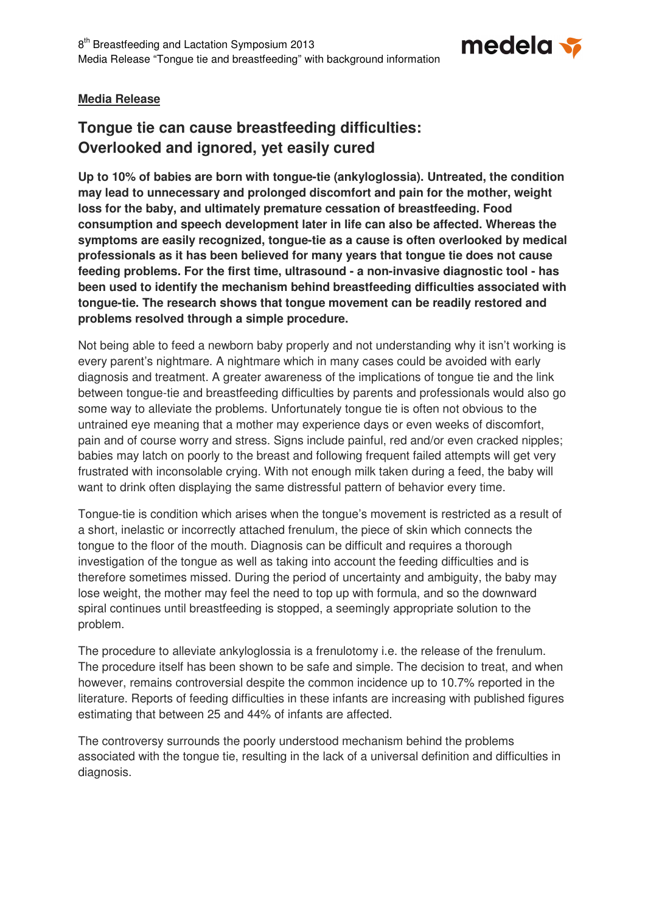

# **Media Release**

# **Tongue tie can cause breastfeeding difficulties: Overlooked and ignored, yet easily cured**

**Up to 10% of babies are born with tongue-tie (ankyloglossia). Untreated, the condition may lead to unnecessary and prolonged discomfort and pain for the mother, weight loss for the baby, and ultimately premature cessation of breastfeeding. Food consumption and speech development later in life can also be affected. Whereas the symptoms are easily recognized, tongue-tie as a cause is often overlooked by medical professionals as it has been believed for many years that tongue tie does not cause feeding problems. For the first time, ultrasound - a non-invasive diagnostic tool - has been used to identify the mechanism behind breastfeeding difficulties associated with tongue-tie. The research shows that tongue movement can be readily restored and problems resolved through a simple procedure.** 

Not being able to feed a newborn baby properly and not understanding why it isn't working is every parent's nightmare. A nightmare which in many cases could be avoided with early diagnosis and treatment. A greater awareness of the implications of tongue tie and the link between tongue-tie and breastfeeding difficulties by parents and professionals would also go some way to alleviate the problems. Unfortunately tongue tie is often not obvious to the untrained eye meaning that a mother may experience days or even weeks of discomfort, pain and of course worry and stress. Signs include painful, red and/or even cracked nipples; babies may latch on poorly to the breast and following frequent failed attempts will get very frustrated with inconsolable crying. With not enough milk taken during a feed, the baby will want to drink often displaying the same distressful pattern of behavior every time.

Tongue-tie is condition which arises when the tongue's movement is restricted as a result of a short, inelastic or incorrectly attached frenulum, the piece of skin which connects the tongue to the floor of the mouth. Diagnosis can be difficult and requires a thorough investigation of the tongue as well as taking into account the feeding difficulties and is therefore sometimes missed. During the period of uncertainty and ambiguity, the baby may lose weight, the mother may feel the need to top up with formula, and so the downward spiral continues until breastfeeding is stopped, a seemingly appropriate solution to the problem.

The procedure to alleviate ankyloglossia is a frenulotomy i.e. the release of the frenulum. The procedure itself has been shown to be safe and simple. The decision to treat, and when however, remains controversial despite the common incidence up to 10.7% reported in the literature. Reports of feeding difficulties in these infants are increasing with published figures estimating that between 25 and 44% of infants are affected.

The controversy surrounds the poorly understood mechanism behind the problems associated with the tongue tie, resulting in the lack of a universal definition and difficulties in diagnosis.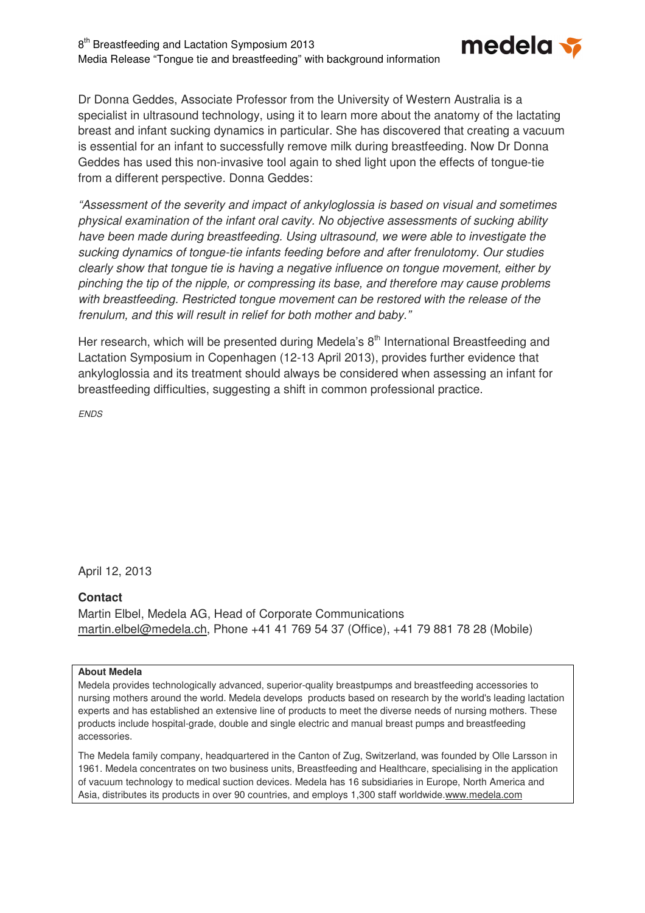

Dr Donna Geddes, Associate Professor from the University of Western Australia is a specialist in ultrasound technology, using it to learn more about the anatomy of the lactating breast and infant sucking dynamics in particular. She has discovered that creating a vacuum is essential for an infant to successfully remove milk during breastfeeding. Now Dr Donna Geddes has used this non-invasive tool again to shed light upon the effects of tongue-tie from a different perspective. Donna Geddes:

"Assessment of the severity and impact of ankyloglossia is based on visual and sometimes physical examination of the infant oral cavity. No objective assessments of sucking ability have been made during breastfeeding. Using ultrasound, we were able to investigate the sucking dynamics of tongue-tie infants feeding before and after frenulotomy. Our studies clearly show that tongue tie is having a negative influence on tongue movement, either by pinching the tip of the nipple, or compressing its base, and therefore may cause problems with breastfeeding. Restricted tongue movement can be restored with the release of the frenulum, and this will result in relief for both mother and baby."

Her research, which will be presented during Medela's  $8<sup>th</sup>$  International Breastfeeding and Lactation Symposium in Copenhagen (12-13 April 2013), provides further evidence that ankyloglossia and its treatment should always be considered when assessing an infant for breastfeeding difficulties, suggesting a shift in common professional practice.

**ENDS** 

April 12, 2013

#### **Contact**

Martin Elbel, Medela AG, Head of Corporate Communications martin.elbel@medela.ch, Phone +41 41 769 54 37 (Office), +41 79 881 78 28 (Mobile)

#### **About Medela**

Medela provides technologically advanced, superior-quality breastpumps and breastfeeding accessories to nursing mothers around the world. Medela develops products based on research by the world's leading lactation experts and has established an extensive line of products to meet the diverse needs of nursing mothers. These products include hospital-grade, double and single electric and manual breast pumps and breastfeeding accessories.

The Medela family company, headquartered in the Canton of Zug, Switzerland, was founded by Olle Larsson in 1961. Medela concentrates on two business units, Breastfeeding and Healthcare, specialising in the application of vacuum technology to medical suction devices. Medela has 16 subsidiaries in Europe, North America and Asia, distributes its products in over 90 countries, and employs 1,300 staff worldwide.www.medela.com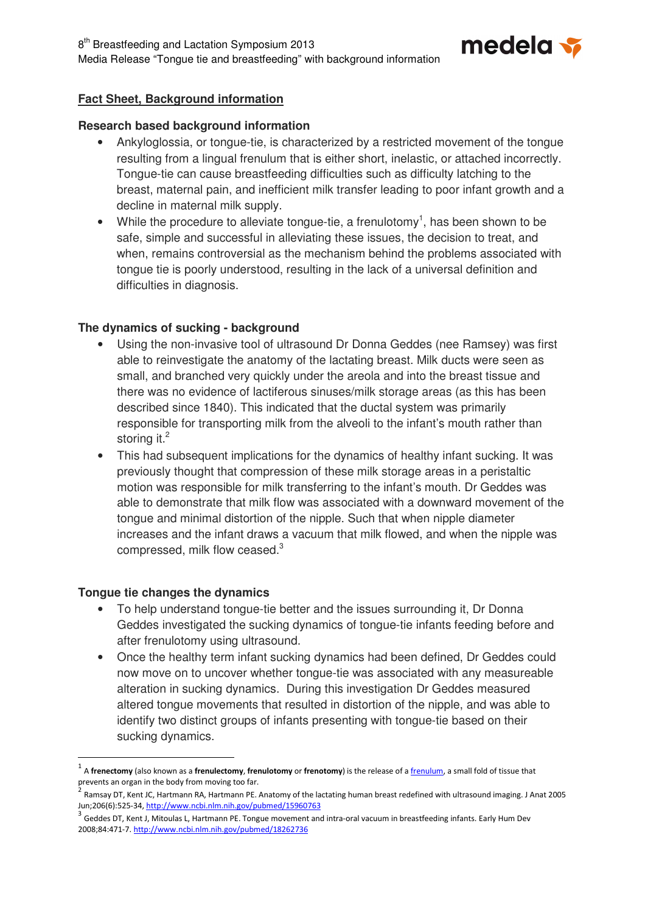8<sup>th</sup> Breastfeeding and Lactation Symposium 2013 Media Release "Tongue tie and breastfeeding" with background information



# **Fact Sheet, Background information**

#### **Research based background information**

- Ankyloglossia, or tongue-tie, is characterized by a restricted movement of the tongue resulting from a lingual frenulum that is either short, inelastic, or attached incorrectly. Tongue-tie can cause breastfeeding difficulties such as difficulty latching to the breast, maternal pain, and inefficient milk transfer leading to poor infant growth and a decline in maternal milk supply.
- While the procedure to alleviate tongue-tie, a frenulotomy<sup>1</sup>, has been shown to be safe, simple and successful in alleviating these issues, the decision to treat, and when, remains controversial as the mechanism behind the problems associated with tongue tie is poorly understood, resulting in the lack of a universal definition and difficulties in diagnosis.

### **The dynamics of sucking - background**

- Using the non-invasive tool of ultrasound Dr Donna Geddes (nee Ramsey) was first able to reinvestigate the anatomy of the lactating breast. Milk ducts were seen as small, and branched very quickly under the areola and into the breast tissue and there was no evidence of lactiferous sinuses/milk storage areas (as this has been described since 1840). This indicated that the ductal system was primarily responsible for transporting milk from the alveoli to the infant's mouth rather than storing it. $^2$
- This had subsequent implications for the dynamics of healthy infant sucking. It was previously thought that compression of these milk storage areas in a peristaltic motion was responsible for milk transferring to the infant's mouth. Dr Geddes was able to demonstrate that milk flow was associated with a downward movement of the tongue and minimal distortion of the nipple. Such that when nipple diameter increases and the infant draws a vacuum that milk flowed, and when the nipple was compressed, milk flow ceased. $3$

#### **Tongue tie changes the dynamics**

 $\overline{a}$ 

- To help understand tongue-tie better and the issues surrounding it, Dr Donna Geddes investigated the sucking dynamics of tongue-tie infants feeding before and after frenulotomy using ultrasound.
- Once the healthy term infant sucking dynamics had been defined, Dr Geddes could now move on to uncover whether tongue-tie was associated with any measureable alteration in sucking dynamics. During this investigation Dr Geddes measured altered tongue movements that resulted in distortion of the nipple, and was able to identify two distinct groups of infants presenting with tongue-tie based on their sucking dynamics.

<sup>1</sup> A frenectomy (also known as a frenulectomy, frenulotomy or frenotomy) is the release of a frenulum, a small fold of tissue that prevents an organ in the body from moving too far.

<sup>2</sup> Ramsay DT, Kent JC, Hartmann RA, Hartmann PE. Anatomy of the lactating human breast redefined with ultrasound imaging. J Anat 2005 Jun;206(6):525-34, http://www.ncbi.nlm.nih.gov/pubmed/15960763

<sup>3</sup> Geddes DT, Kent J, Mitoulas L, Hartmann PE. Tongue movement and intra-oral vacuum in breastfeeding infants. Early Hum Dev 2008;84:471-7. http://www.ncbi.nlm.nih.gov/pubmed/18262736